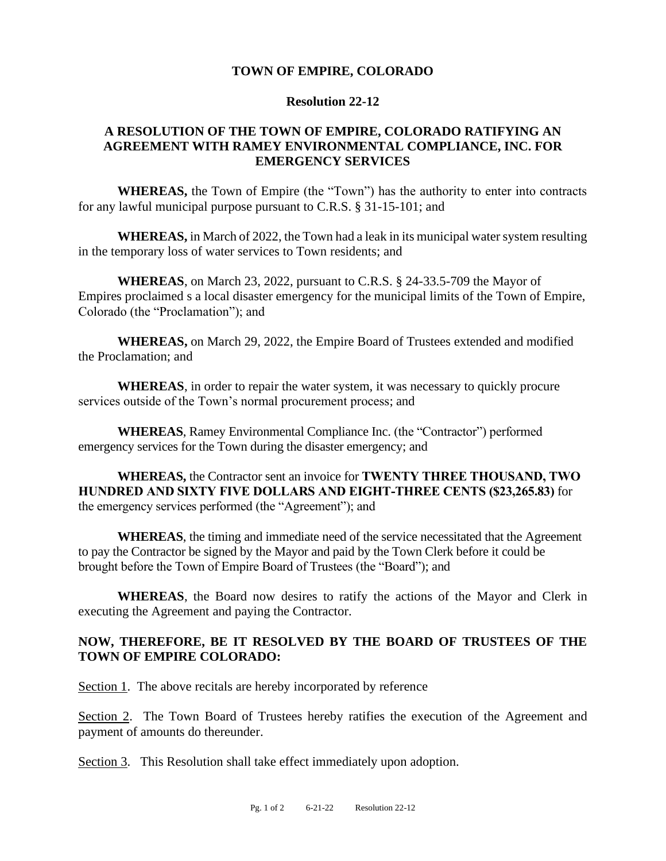### **TOWN OF EMPIRE, COLORADO**

#### **Resolution 22-12**

# **A RESOLUTION OF THE TOWN OF EMPIRE, COLORADO RATIFYING AN AGREEMENT WITH RAMEY ENVIRONMENTAL COMPLIANCE, INC. FOR EMERGENCY SERVICES**

**WHEREAS,** the Town of Empire (the "Town") has the authority to enter into contracts for any lawful municipal purpose pursuant to C.R.S. § 31-15-101; and

**WHEREAS,** in March of 2022, the Town had a leak in its municipal water system resulting in the temporary loss of water services to Town residents; and

**WHEREAS**, on March 23, 2022, pursuant to C.R.S. § 24-33.5-709 the Mayor of Empires proclaimed s a local disaster emergency for the municipal limits of the Town of Empire, Colorado (the "Proclamation"); and

**WHEREAS,** on March 29, 2022, the Empire Board of Trustees extended and modified the Proclamation; and

**WHEREAS**, in order to repair the water system, it was necessary to quickly procure services outside of the Town's normal procurement process; and

**WHEREAS**, Ramey Environmental Compliance Inc. (the "Contractor") performed emergency services for the Town during the disaster emergency; and

**WHEREAS,** the Contractor sent an invoice for **TWENTY THREE THOUSAND, TWO HUNDRED AND SIXTY FIVE DOLLARS AND EIGHT-THREE CENTS (\$23,265.83)** for the emergency services performed (the "Agreement"); and

**WHEREAS**, the timing and immediate need of the service necessitated that the Agreement to pay the Contractor be signed by the Mayor and paid by the Town Clerk before it could be brought before the Town of Empire Board of Trustees (the "Board"); and

**WHEREAS**, the Board now desires to ratify the actions of the Mayor and Clerk in executing the Agreement and paying the Contractor.

# **NOW, THEREFORE, BE IT RESOLVED BY THE BOARD OF TRUSTEES OF THE TOWN OF EMPIRE COLORADO:**

Section 1. The above recitals are hereby incorporated by reference

Section 2. The Town Board of Trustees hereby ratifies the execution of the Agreement and payment of amounts do thereunder.

Section 3. This Resolution shall take effect immediately upon adoption.